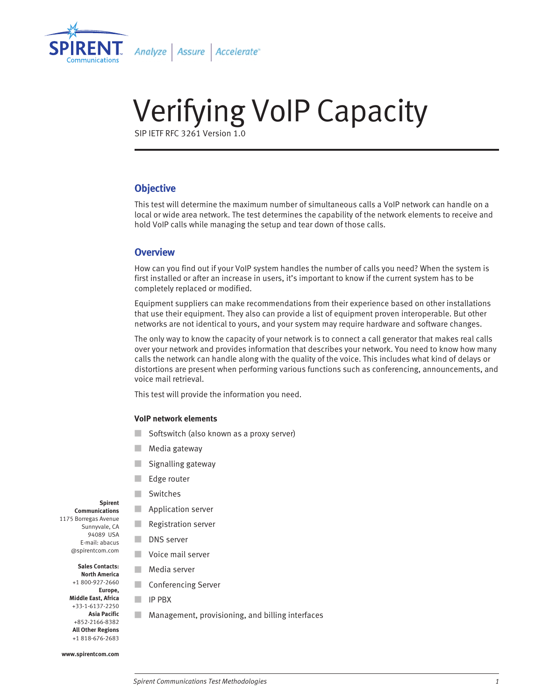

# Verifying VoIP Capacity

SIP IETF RFC 3261 Version 1.0

# **Objective**

This test will determine the maximum number of simultaneous calls a VoIP network can handle on a local or wide area network. The test determines the capability of the network elements to receive and hold VoIP calls while managing the setup and tear down of those calls.

## **Overview**

How can you find out if your VoIP system handles the number of calls you need? When the system is first installed or after an increase in users, it's important to know if the current system has to be completely replaced or modified.

Equipment suppliers can make recommendations from their experience based on other installations that use their equipment. They also can provide a list of equipment proven interoperable. But other networks are not identical to yours, and your system may require hardware and software changes.

The only way to know the capacity of your network is to connect a call generator that makes real calls over your network and provides information that describes your network. You need to know how many calls the network can handle along with the quality of the voice. This includes what kind of delays or distortions are present when performing various functions such as conferencing, announcements, and voice mail retrieval.

This test will provide the information you need.

#### **VoIP network elements**

- Softswitch (also known as a proxy server)
- Media gateway
- Signalling gateway
- Edge router
- Switches
- Application server
- Registration server
- DNS server
- Voice mail server
- Media server
- Conferencing Server
- IP PBX
- Management, provisioning, and billing interfaces

### **Spirent**

**Communications** 1175 Borregas Avenue Sunnyvale, CA 94089 USA E-mail: abacus @spirentcom.com

> **Sales Contacts: North America** +1 800-927-2660

**Europe, Middle East, Africa** +33-1-6137-2250 **Asia Pacific** +852-2166-8382 **All Other Regions** +1 818-676-2683

**www.spirentcom.com**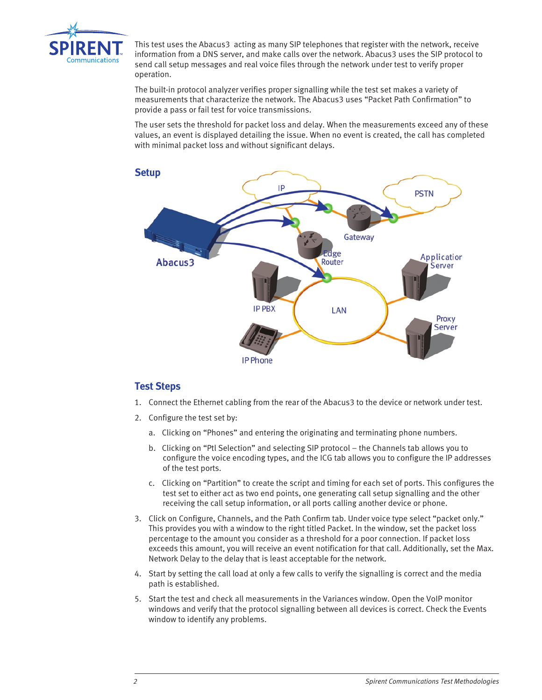

This test uses the Abacus3 acting as many SIP telephones that register with the network, receive information from a DNS server, and make calls over the network. Abacus3 uses the SIP protocol to send call setup messages and real voice files through the network under test to verify proper operation.

The built-in protocol analyzer verifies proper signalling while the test set makes a variety of measurements that characterize the network. The Abacus3 uses "Packet Path Confirmation" to provide a pass or fail test for voice transmissions.

The user sets the threshold for packet loss and delay. When the measurements exceed any of these values, an event is displayed detailing the issue. When no event is created, the call has completed with minimal packet loss and without significant delays.



# **Test Steps**

- 1. Connect the Ethernet cabling from the rear of the Abacus3 to the device or network under test.
- 2. Configure the test set by:
	- a. Clicking on "Phones" and entering the originating and terminating phone numbers.
	- b. Clicking on "Ptl Selection" and selecting SIP protocol the Channels tab allows you to configure the voice encoding types, and the ICG tab allows you to configure the IP addresses of the test ports.
	- c. Clicking on "Partition" to create the script and timing for each set of ports. This configures the test set to either act as two end points, one generating call setup signalling and the other receiving the call setup information, or all ports calling another device or phone.
- 3. Click on Configure, Channels, and the Path Confirm tab. Under voice type select "packet only." This provides you with a window to the right titled Packet. In the window, set the packet loss percentage to the amount you consider as a threshold for a poor connection. If packet loss exceeds this amount, you will receive an event notification for that call. Additionally, set the Max. Network Delay to the delay that is least acceptable for the network.
- 4. Start by setting the call load at only a few calls to verify the signalling is correct and the media path is established.
- 5. Start the test and check all measurements in the Variances window. Open the VoIP monitor windows and verify that the protocol signalling between all devices is correct. Check the Events window to identify any problems.